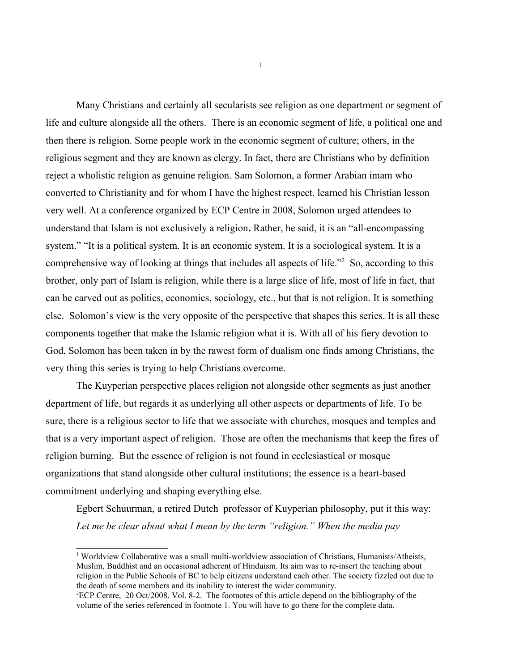Many Christians and certainly all secularists see religion as one department or segment of life and culture alongside all the others. There is an economic segment of life, a political one and then there is religion. Some people work in the economic segment of culture; others, in the religious segment and they are known as clergy. In fact, there are Christians who by definition reject a wholistic religion as genuine religion. Sam Solomon, a former Arabian imam who converted to Christianity and for whom I have the highest respect, learned his Christian lesson very well. At a conference organized by ECP Centre in 2008, Solomon urged attendees to understand that Islam is not exclusively a religion**.** Rather, he said, it is an "all-encompassing system." "It is a political system. It is an economic system. It is a sociological system. It is a comprehensive way of looking at things that includes all aspects of life."[2](#page-0-1) So, according to this brother, only part of Islam is religion, while there is a large slice of life, most of life in fact, that can be carved out as politics, economics, sociology, etc., but that is not religion. It is something else. Solomon's view is the very opposite of the perspective that shapes this series. It is all these components together that make the Islamic religion what it is. With all of his fiery devotion to God, Solomon has been taken in by the rawest form of dualism one finds among Christians, the very thing this series is trying to help Christians overcome.

The Kuyperian perspective places religion not alongside other segments as just another department of life, but regards it as underlying all other aspects or departments of life. To be sure, there is a religious sector to life that we associate with churches, mosques and temples and that is a very important aspect of religion. Those are often the mechanisms that keep the fires of religion burning. But the essence of religion is not found in ecclesiastical or mosque organizations that stand alongside other cultural institutions; the essence is a heart-based commitment underlying and shaping everything else.

Egbert Schuurman, a retired Dutch professor of Kuyperian philosophy, put it this way: *Let me be clear about what I mean by the term "religion." When the media pay*

[1](#page-0-0)

<span id="page-0-0"></span><sup>1</sup> Worldview Collaborative was a small multi-worldview association of Christians, Humanists/Atheists, Muslim, Buddhist and an occasional adherent of Hinduism. Its aim was to re-insert the teaching about religion in the Public Schools of BC to help citizens understand each other. The society fizzled out due to the death of some members and its inability to interest the wider community.

<span id="page-0-1"></span><sup>2</sup>ECP Centre, 20 Oct/2008. Vol. 8-2. The footnotes of this article depend on the bibliography of the volume of the series referenced in footnote 1. You will have to go there for the complete data.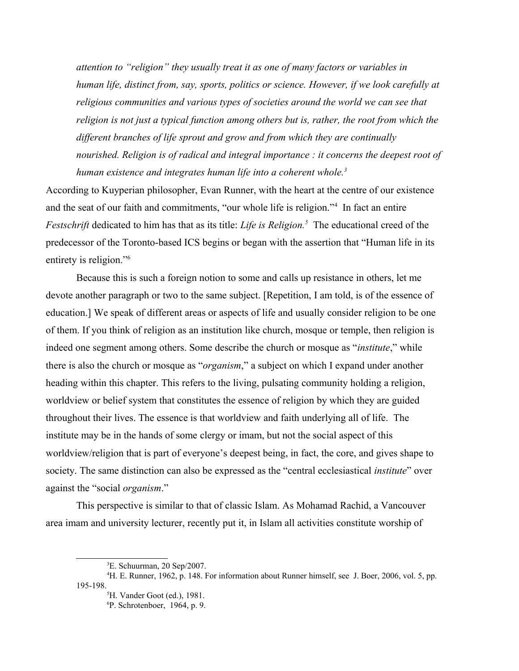*attention to "religion" they usually treat it as one of many factors or variables in human life, distinct from, say, sports, politics or science. However, if we look carefully at* religious communities and various types of societies around the world we can see that religion is not just a typical function among others but is, rather, the root from which the *different branches of life sprout and grow and from which they are continually nourished. Religion is of radical and integral importance : it concerns the deepest root of human existence and integrates human life into a coherent whole.[3](#page-1-0)*

According to Kuyperian philosopher, Evan Runner, with the heart at the centre of our existence and the seat of our faith and commitments, "our whole life is religion."[4](#page-1-1) In fact an entire *Festschrift* dedicated to him has that as its title: *Life is Religion.[5](#page-1-2)* The educational creed of the predecessor of the Toronto-based ICS begins or began with the assertion that "Human life in its entirety is religion."<sup>[6](#page-1-3)</sup>

Because this is such a foreign notion to some and calls up resistance in others, let me devote another paragraph or two to the same subject. [Repetition, I am told, is of the essence of education.] We speak of different areas or aspects of life and usually consider religion to be one of them. If you think of religion as an institution like church, mosque or temple, then religion is indeed one segment among others. Some describe the church or mosque as "*institute*," while there is also the church or mosque as "*organism*," a subject on which I expand under another heading within this chapter. This refers to the living, pulsating community holding a religion, worldview or belief system that constitutes the essence of religion by which they are guided throughout their lives. The essence is that worldview and faith underlying all of life. The institute may be in the hands of some clergy or imam, but not the social aspect of this worldview/religion that is part of everyone's deepest being, in fact, the core, and gives shape to society. The same distinction can also be expressed as the "central ecclesiastical *institute*" over against the "social *organism*."

This perspective is similar to that of classic Islam. As Mohamad Rachid, a Vancouver area imam and university lecturer, recently put it, in Islam all activities constitute worship of

<span id="page-1-1"></span><span id="page-1-0"></span><sup>3</sup>E. Schuurman, 20 Sep/2007.

<sup>4</sup>H. E. Runner, 1962, p. 148. For information about Runner himself, see J. Boer, 2006, vol. 5, pp. 195-198.

<span id="page-1-2"></span><sup>5</sup>H. Vander Goot (ed.), 1981.

<span id="page-1-3"></span><sup>6</sup>P. Schrotenboer, 1964, p. 9.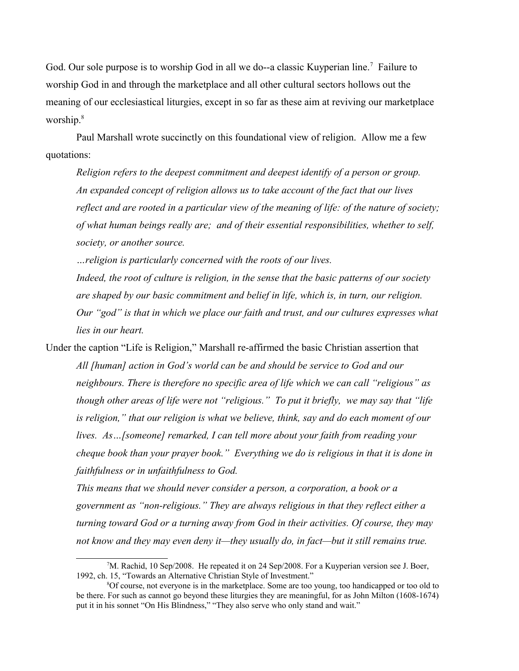God. Our sole purpose is to worship God in all we do--a classic Kuyperian line.<sup>[7](#page-2-0)</sup> Failure to worship God in and through the marketplace and all other cultural sectors hollows out the meaning of our ecclesiastical liturgies, except in so far as these aim at reviving our marketplace worship.[8](#page-2-1)

Paul Marshall wrote succinctly on this foundational view of religion. Allow me a few quotations:

*Religion refers to the deepest commitment and deepest identify of a person or group. An expanded concept of religion allows us to take account of the fact that our lives reflect and are rooted in a particular view of the meaning of life: of the nature of society; of what human beings really are; and of their essential responsibilities, whether to self, society, or another source.*

*…religion is particularly concerned with the roots of our lives. Indeed, the root of culture is religion, in the sense that the basic patterns of our society are shaped by our basic commitment and belief in life, which is, in turn, our religion. Our "god" is that in which we place our faith and trust, and our cultures expresses what lies in our heart.*

Under the caption "Life is Religion," Marshall re-affirmed the basic Christian assertion that *All [human] action in God's world can be and should be service to God and our neighbours. There is therefore no specific area of life which we can call "religious" as though other areas of life were not "religious." To put it briefly, we may say that "life is religion," that our religion is what we believe, think, say and do each moment of our lives. As…[someone] remarked, I can tell more about your faith from reading your cheque book than your prayer book." Everything we do is religious in that it is done in faithfulness or in unfaithfulness to God.*

*This means that we should never consider a person, a corporation, a book or a government as "non-religious." They are always religious in that they reflect either a turning toward God or a turning away from God in their activities. Of course, they may not know and they may even deny it—they usually do, in fact—but it still remains true.* 

<span id="page-2-0"></span><sup>7</sup>M. Rachid, 10 Sep/2008. He repeated it on 24 Sep/2008. For a Kuyperian version see J. Boer, 1992, ch. 15, "Towards an Alternative Christian Style of Investment."

<span id="page-2-1"></span><sup>8</sup>Of course, not everyone is in the marketplace. Some are too young, too handicapped or too old to be there. For such as cannot go beyond these liturgies they are meaningful, for as John Milton (1608-1674) put it in his sonnet "On His Blindness," "They also serve who only stand and wait."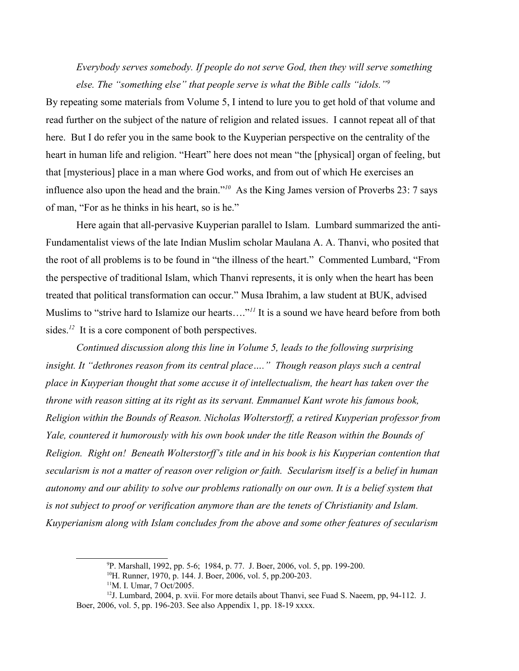*Everybody serves somebody. If people do not serve God, then they will serve something else. The "something else" that people serve is what the Bible calls "idols."[9](#page-3-0)*

By repeating some materials from Volume 5, I intend to lure you to get hold of that volume and read further on the subject of the nature of religion and related issues. I cannot repeat all of that here. But I do refer you in the same book to the Kuyperian perspective on the centrality of the heart in human life and religion. "Heart" here does not mean "the [physical] organ of feeling, but that [mysterious] place in a man where God works, and from out of which He exercises an influence also upon the head and the brain."*[10](#page-3-1)* As the King James version of Proverbs 23: 7 says of man, "For as he thinks in his heart, so is he."

Here again that all-pervasive Kuyperian parallel to Islam. Lumbard summarized the anti-Fundamentalist views of the late Indian Muslim scholar Maulana A. A. Thanvi, who posited that the root of all problems is to be found in "the illness of the heart." Commented Lumbard, "From the perspective of traditional Islam, which Thanvi represents, it is only when the heart has been treated that political transformation can occur." Musa Ibrahim, a law student at BUK, advised Muslims to "strive hard to Islamize our hearts...."<sup>[11](#page-3-2)</sup> It is a sound we have heard before from both sides.<sup>[12](#page-3-3)</sup> It is a core component of both perspectives.

*Continued discussion along this line in Volume 5, leads to the following surprising insight. It "dethrones reason from its central place…." Though reason plays such a central place in Kuyperian thought that some accuse it of intellectualism, the heart has taken over the throne with reason sitting at its right as its servant. Emmanuel Kant wrote his famous book, Religion within the Bounds of Reason. Nicholas Wolterstorff, a retired Kuyperian professor from Yale, countered it humorously with his own book under the title Reason within the Bounds of Religion. Right on! Beneath Wolterstorff's title and in his book is his Kuyperian contention that secularism is not a matter of reason over religion or faith. Secularism itself is a belief in human autonomy and our ability to solve our problems rationally on our own. It is a belief system that is not subject to proof or verification anymore than are the tenets of Christianity and Islam. Kuyperianism along with Islam concludes from the above and some other features of secularism* 

<span id="page-3-0"></span><sup>9</sup>P. Marshall, 1992, pp. 5-6; 1984, p. 77. J. Boer, 2006, vol. 5, pp. 199-200.

<span id="page-3-1"></span><sup>&</sup>lt;sup>10</sup>H. Runner, 1970, p. 144. J. Boer, 2006, vol. 5, pp.200-203.

<span id="page-3-3"></span><span id="page-3-2"></span><sup>&</sup>lt;sup>11</sup>M. I. Umar, 7 Oct/2005.

 $12$ J. Lumbard, 2004, p. xvii. For more details about Thanvi, see Fuad S. Naeem, pp, 94-112. J. Boer, 2006, vol. 5, pp. 196-203. See also Appendix 1, pp. 18-19 xxxx.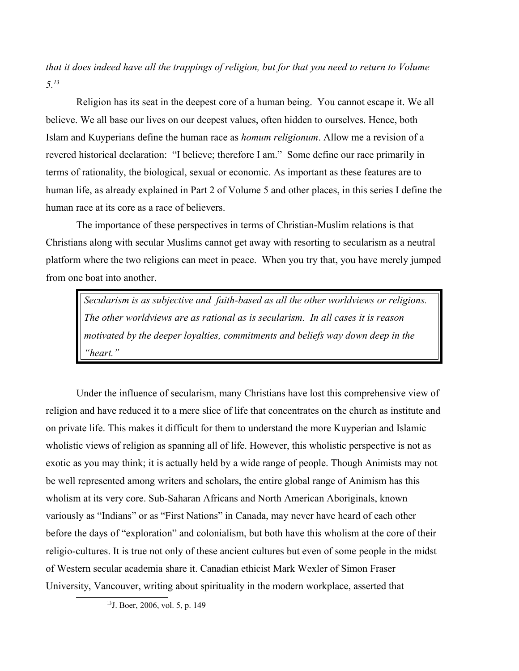*that it does indeed have all the trappings of religion, but for that you need to return to Volume 5.[13](#page-4-0)*

Religion has its seat in the deepest core of a human being. You cannot escape it. We all believe. We all base our lives on our deepest values, often hidden to ourselves. Hence, both Islam and Kuyperians define the human race as *homum religionum*. Allow me a revision of a revered historical declaration: "I believe; therefore I am." Some define our race primarily in terms of rationality, the biological, sexual or economic. As important as these features are to human life, as already explained in Part 2 of Volume 5 and other places, in this series I define the human race at its core as a race of believers.

The importance of these perspectives in terms of Christian-Muslim relations is that Christians along with secular Muslims cannot get away with resorting to secularism as a neutral platform where the two religions can meet in peace. When you try that, you have merely jumped from one boat into another.

*Secularism is as subjective and faith-based as all the other worldviews or religions. The other worldviews are as rational as is secularism. In all cases it is reason motivated by the deeper loyalties, commitments and beliefs way down deep in the "heart."*

Under the influence of secularism, many Christians have lost this comprehensive view of religion and have reduced it to a mere slice of life that concentrates on the church as institute and on private life. This makes it difficult for them to understand the more Kuyperian and Islamic wholistic views of religion as spanning all of life. However, this wholistic perspective is not as exotic as you may think; it is actually held by a wide range of people. Though Animists may not be well represented among writers and scholars, the entire global range of Animism has this wholism at its very core. Sub-Saharan Africans and North American Aboriginals, known variously as "Indians" or as "First Nations" in Canada, may never have heard of each other before the days of "exploration" and colonialism, but both have this wholism at the core of their religio-cultures. It is true not only of these ancient cultures but even of some people in the midst of Western secular academia share it. Canadian ethicist Mark Wexler of Simon Fraser University, Vancouver, writing about spirituality in the modern workplace, asserted that

<span id="page-4-0"></span><sup>13</sup>J. Boer, 2006, vol. 5, p. 149